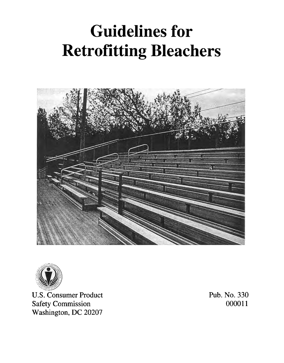# **Guidelines for Retrofitting Bleachers**





**U.S. Consumer Product Safety Commission** Washington, DC 20207

Pub. No. 330 000011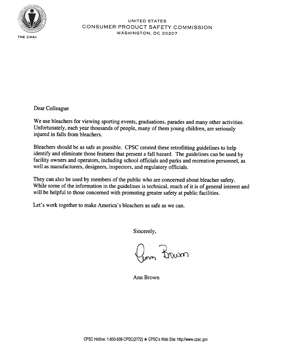

#### UNITED STATES CONSUMER PRODUCT SAFETY COMMISSION WASHINGTON, DC 20207

Dear Colleague

We use bleachers for viewing sporting events, graduations, parades and many other activities. Unfortunately, each year thousands of people, many of them young children, are seriously injured in falls from bleachers.

Bleachers should be as safe as possible. CPSC created these retrofitting guidelines to help identify and eliminate those features that present a fall hazard. The guidelines can be used by facility owners and operators, including school officials and parks and recreation personnel, as well as manufacturers, designers, inspectors, and regulatory officials.

They can also be used by members of the public who are concerned about bleacher safety. While some of the information in the guidelines is technical, much of it is of general interest and will be helpful to those concerned with promoting greater safety at public facilities.

Let's work together to make America's bleachers as safe as we can.

Sincerely,

Inn Prouxi

Ann Brown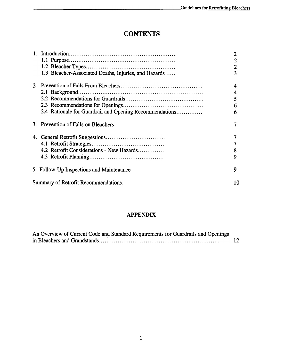# **CONTENTS**

|                                                         | 2              |
|---------------------------------------------------------|----------------|
|                                                         | 2              |
|                                                         | $\overline{2}$ |
| 1.3 Bleacher-Associated Deaths, Injuries, and Hazards   | 3              |
|                                                         | 4              |
|                                                         | 4              |
|                                                         | 5              |
|                                                         | 6              |
| 2.4 Rationale for Guardrail and Opening Recommendations | 6              |
| 3. Prevention of Falls on Bleachers.                    |                |
|                                                         |                |
|                                                         |                |
| 4.2 Retrofit Considerations - New Hazards               | 8              |
|                                                         | 9              |
| 5. Follow-Up Inspections and Maintenance                | 9              |
| Summary of Retrofit Recommendations.                    | 10             |

## APPENDIX

| An Overview of Current Code and Standard Requirements for Guardrails and Openings |    |
|-----------------------------------------------------------------------------------|----|
|                                                                                   | 12 |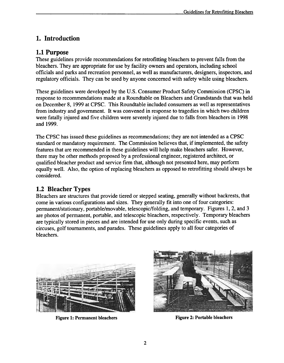# I. Introduction

### 1.1 Purpose

These guidelines provide recommendations for retrofitting bleachers to prevent falls from the bleachers. They are appropriate for use by facility owners and operators, including school officials and parks and recreation personnel, as well as manufacturers, designers, inspectors, and regulatory officials. They can be used by anyone concerned with safety while using bleachers.

These guidelines were developed by the U.S. Consumer Product Safety Commission (CPSC) in response to recommendations made at a Roundtable on Bleachers and Grandstands that was held on December 8, 1999 at CPSC. This Roundtable included consumers as well as representatives from industry and government. It was convened in response to tragedies in which two children were fatally injured and five children were severely injured due to falls from bleachers in 1998 and 1999.

The CPSC has issued these guidelines as recommendations; they are not intended as a CPSC standard or mandatory requirement. The Commission believes that, if implemented, the safety features that are recommended in these guidelines will help make bleachers safer. However, there may be other methods proposed by a professional engineer, registered architect, or qualified bleacher product and service firm that, although not presented here, may perform equally well. Also, the option of replacing bleachers as opposed to retrofitting should always be considered.

## 1.2 Bleacher Types

Bleachers are structures that provide tiered or stepped seating, generally without backrests, that come in various configurations and sizes. They generally fit into one of four categories: permanent/stationary, portable/movable, telescopic/folding, and temporary. Figures 1, 2, and 3 are photos of permanent, portable, and telescopic bleachers, respectively. Temporary bleachers are typically stored in pieces and are intended for use only during specific events, such as circuses, golf tournaments, and parades. These guidelines apply to all four categories of bleachers.



Figure 1: Permanent bleachers Figure 2: Portable bleachers

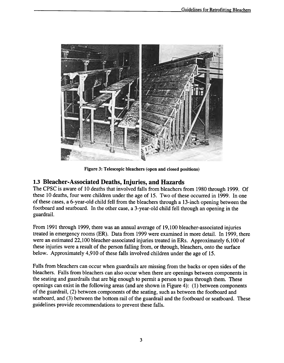

Figure 3: Telescopic bleachers (open and closed positions)

## 1.3 Bleacher-Associated Deaths, Injuries, and Hazards

The CPSC is aware of 10 deaths that involved falls from bleachers from 1980 through 1999. Of these 10 deaths, four were children under the age of 15. Two of these occurred in 1999. In one of these cases, a 6-year-old child fell from the bleachers through a 13-inch opening between the footboard and seatboard. In the other case, a 3-year-old child fell through an opening in the guardrail.

From 1991 through 1999, there was an annual average of 19,100 bleacher-associated injuries treated in emergency rooms (ER). Data from 1999 were examined in more detail. In 1999, there were an estimated 22, 100 bleacher-associated injuries treated in ERs. Approximately 6, 100 of these injuries were a result of the person falling from, or through, bleachers, onto the surface below. Approximately 4,910 of these falls involved children under the age of 15.

Falls from bleachers can occur when guardrails are missing from the backs or open sides of the bleachers. Falls from bleachers can also occur when there are openings between components in the seating and guardrails that are big enough to permit a person to pass through them. These openings can exist in the following areas (and are shown in Figure 4): (I) between components of the guardrail, (2) between components of the seating, such as between the footboard and seatboard, and (3) between the bottom rail of the guardrail and the footboard or seatboard. These guidelines provide recommendations to prevent these falls.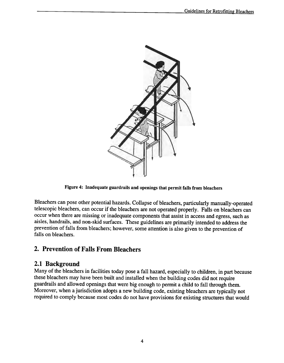

Figure 4: Inadequate guardrails and openings that permit falls from bleachers

Bleachers can pose other potential hazards. Collapse of bleachers, particularly manually-operated telescopic bleachers, can occur if the bleachers are not operated properly. Falls on bleachers can occur when there are missing or inadequate components that assist in access and egress, such as aisles, handrails, and non-skid surfaces. These guidelines are primarily intended to address the prevention of falls from bleachers; however, some attention is also given to the prevention of falls on bleachers.

## 2. Prevention of Falls From Bleachers

## 2.1 Background

Many of the bleachers in facilities today pose a fall hazard, especially to children, in part because these bleachers may have been built and installed when the building codes did not require guardrails and allowed openings that were big enough to permit a child to fall through them. Moreover, when a jurisdiction adopts a new building code, existing bleachers are typically not required to comply because most codes do not have provisions for existing structures that would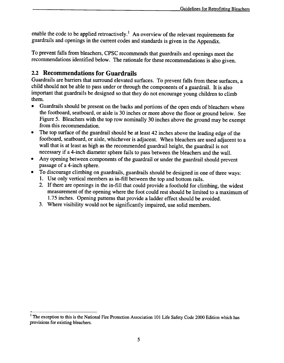enable the code to be applied retroactively.<sup>1</sup> An overview of the relevant requirements for guardrails and openings in the current codes and standards is given in the Appendix.

To prevent falls from bleachers, CPSC recommends that guardrails and openings meet the recommendations identified below. The rationale for these recommendations is also given.

## 2.2 Recommendations for Guardrails

Guardrails are barriers that surround elevated surfaces. To prevent falls from these surfaces, a child should not be able to pass under or through the components of a guardrail. It is also important that guardrails be designed so that they do not encourage young children to climb them.

- .Guardrails should be present on the backs and portions of the open ends of bleachers where the footboard, seatboard, or aisle is 30 inches or more above the floor or ground below. See Figure 5. Bleachers with the top row nominally 30 inches above the ground may be exempt from this recommendation.
- .The top surface of the guardrail should be at least 42 inches above the leading edge of the footboard, seatboard, or aisle, whichever is adjacent. When bleachers are used adjacent to a wall that is at least as high as the recommended guardrail height, the guardrail is not necessary if a 4-inch diameter sphere fails to pass between the bleachers and the wall.
- .Any opening between components of the guardrail or under the guardrail should prevent passage of a 4-inch sphere.
- .To discourage climbing on guardrails, guardrails should be designed in one of three ways:
	- 1. Use only vertical members as in-fill between the top and bottom rails.
	- 2. If there are openings in the in-fill that could provide a foothold for climbing, the widest measurement of the opening where the foot could rest should be limited to a maximum of 1.75 inches. Opening patterns that provide a ladder effect should be avoided.
	- 3. Where visibility would not be significantly impaired, use solid members.

<sup>&</sup>lt;sup>1</sup> The exception to this is the National Fire Protection Association 101 Life Safety Code 2000 Edition which has provisions for existing bleachers.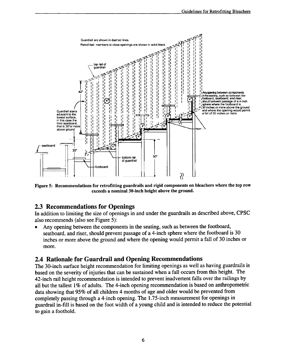

Figure 5: Recommendations for retrofitting guardrails and rigid components on bleachers where the top row exceeds a nominal 30-inch height above the ground.

### 2.3 Recommendations for Openings

In addition to limiting the size of openings in and under the guardrails as described above, CPSC also recommends (also see Figure 5):

.Any opening between the components in the seating, such as between the footboard, seatboard, and riser, should prevent passage of a 4-inch sphere where the footboard is 30 inches or more above the ground and where the opening would permit a fall of 30 inches or more.

### 2.4 Rationale for Guardrail and Opening Recommendations

The 30-inch surface height recommendation for limiting openings as well as having guardrails is based on the severity of injuries that can be sustained when a fall occurs from this height. The 42-inch rail height recommendation is intended to prevent inadvertent falls over the railings by all but the tallest 1% of adults. The 4-inch opening recommendation is based on anthropometric data showing that 95% of all children 4 months of age and older would be prevented from completely passing through a 4-inch opening. The 1.75-inch measurement for openings in guardrail in-fill is based on the foot width of a young child and is intended to reduce the potential to gain a foothold.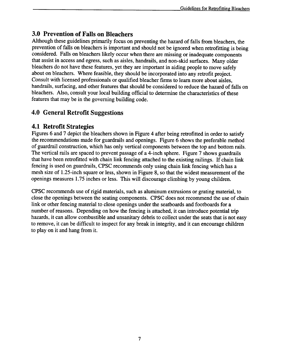# 3.0 Prevention of Falls on Bleachers

Although these guidelines primarily focus on preventing the hazard of falls from bleachers, the prevention of falls on bleachers is important and should not be ignored when retrofitting is being considered. Falls on bleachers likely occur when there are missing or inadequate components that assist in access and egress, such as aisles, handrails, and non-skid surfaces. Many older bleachers do not have these features, yet they are important in aiding people to move safely about on bleachers. Where feasible, they should be incorporated into any retrofit project. Consult with licensed professionals or qualified bleacher firms to learn more about aisles, handrails, surfacing, and other features that should be considered to reduce the hazard of falls on bleachers. Also, consult your local building official to determine the characteristics of these features that may be in the governing building code.

# 4.0 General Retrofit Suggestions

## 4.1 Retrofit Strategies

Figures 6 and 7 depict the bleachers shown in Figure 4 after being retrofitted in order to satisfy the recommendations made for guardrails and openings. Figure 6 shows the preferable method of guardrail construction, which has only vertical components between the top and bottom rails. The vertical rails are spaced to prevent passage of a 4-inch sphere. Figure 7 shows guardrails that have been retrofitted with chain link fencing attached to the existing railings. If chain link fencing is used on guardrails, CPSC recommends only using chain link fencing which has a mesh size of 1.25-inch square or less, shown in Figure 8, so that the widest measurement of the openings measures 1.75 inches or less. This will discourage climbing by young children.

CPSC recommends use of rigid materials, such as aluminum extrusions or grating material, to close the openings between the seating components. CPSC does not recommend the use of chain link or other fencing material to close openings under the seatboards and footboards for a number of reasons. Depending on how the fencing is attached, it can introduce potential trip hazards, it can allow combustible and unsanitary debris to collect under the seats that is not easy to remove, it can be difficult to inspect for any break in integrity, and it can encourage children to play on it and hang from it.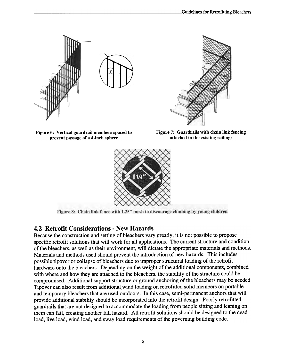



Figure 6: Vertical guardrail members spaced to prevent passage of a 4-inch sphere

Figure 7: Guardrails with chain link fencing attached to the existing railings



Figure 8: Chain link fence with 1.25" mesh to discourage climbing by young children

## 4.2 Retrofit Considerations - New Hazards

Because the construction and setting of bleachers vary greatly, it is not possible to propose specific retrofit solutions that will work for all applications. The current structure and condition of the bleachers, as well as their environment, will dictate the appropriate materials and methods. Materials and methods used should prevent the introduction of new hazards. This includes possible tipover or collapse of bleachers due to improper structural loading of the retrofit hardware onto the bleachers. Depending on the weight of the additional components, combined with where and how they are attached to the bleachers, the stability of the structure could be compromised. Additional support structure or ground anchoring of the bleachers may be needed. Tipover can also result from additional wind loading on retrofitted solid members on portable and temporary bleachers that are used outdoors. In this case, semi-permanent anchors that will provide additional stability should be incorporated into the retrofit design. Poorly retrofitted guardrails that are not designed to accommodate the loading from people sitting and leaning on them can fail, creating another fall hazard. All retrofit solutions should be designed to the dead load, live load, wind load, and sway load requirements of the governing building code.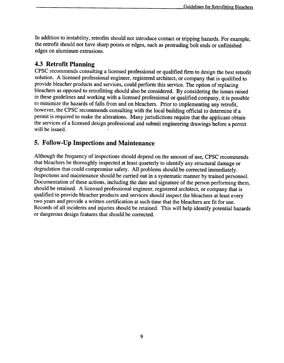In addition to instability, retrofits should not introduce contact or tripping hazards. For example, the retrofit should not have sharp points or edges, such as protruding bolt ends or unfinished edges on aluminum extrusions.

## 4.3 Retrofit Planning

CPSC recommends consulting a licensed professional or qualified firm to design the best retrofit solution. A licensed professional engineer, registered architect, or company that is qualified to provide bleacher products and services, could perform this service. The option of replacing bleachers as opposed to retrofitting should also be considered. By considering the issues raised in these guidelines and working with a licensed professional or qualified company, it is possible to minimize the hazards of falls from and on bleachers. Prior to implementing any retrofit, however, the CPSC recommends consulting with the local building official to determine if a permit is required to make the alterations. Many jurisdictions require that the applicant obtain the services of a licensed design professional and submit engineering drawings before a permit will be issued.

## 5. Follow-Up Inspections and Maintenance

Although the frequency of inspections should depend on the amount of use, CPSC recommends that bleachers be thoroughly inspected at least quarterly to identify any structural damage or degradation that could compromise safety. All problems should be corrected immediately. Inspections and maintenance should be carried out in a systematic manner by trained personnel. Documentation of these actions, including the date and signature of the person performing them, should be retained. A licensed professional engineer, registered architect, or company that is qualified to provide bleacher products and services should inspect the bleachers at least every two years and provide a written certification at such time that the bleachers are fit for use. Records of all incidents and injuries should be retained. This will help identify potential hazards or dangerous design features that should be corrected.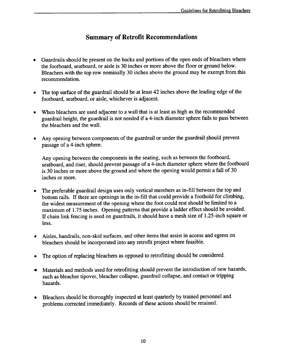## Summary of Retrofit Recommendations

- Guardrails should be present on the backs and portions of the open ends of bleachers where the footboard, seatboard, or aisle is 30 inches or more above the floor or ground below. Bleachers with the top row nominally 30 inches above the ground may be exempt from this recommendation.  $\bullet$
- The top surface of the guardrail should be at least 42 inches above the leading edge of the footboard, seatboard, or aisle, whichever is adjacent.  $\bullet$
- When bleachers are used adjacent to a wall that is at least as high as the recommended guardrail height, the guardrail is not needed if a 4-inch diameter sphere fails to pass between the bleachers and the wall.
- Any opening between components of the guardrail or under the guardrail should prevent passage of a 4-inch sphere. .

Any opening between the components in the seating, such as between the footboard, seatboard, and riser, should prevent passage of a 4-inch diameter sphere where the footboard is 30 inches or more above the ground and where the opening would permit a fall of 30 inches or more.

- The preferable guardrail design uses only vertical members as in-fill between the top and bottom rails. If there are openings in the in-fill that could provide a foothold for climbing, the widest measurement of the opening where the foot could rest should be limited to a maximum of 1.75 inches. Opening patterns that provide a ladder effect should be avoided. If chain link fencing is used on guardrails, it should have a mesh size of 1.25-inch square or less. .
- Aisles, handrails, non-skid surfaces, and other items that assist in access and egress on bleachers should be incorporated into any retrofit project where feasible. .
- . The option of replacing bleachers as opposed to retrofitting should be considered.
- Materials and methods used for retrofitting should prevent the introduction of new hazards, such as bleacher tipover, bleacher collapse, guardrail collapse, and contact or tripping hazards. .
- Bleachers should be thoroughly inspected at least quarterly by trained personnel and problems corrected immediately. Records of these actions should be retained. .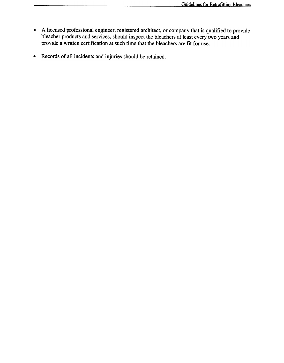- A licensed professional engineer, registered architect, or company that is qualified to provide bleacher products and services, should inspect the bleachers at least every two years and provide a written certification at such time that the bleachers are fit for use. .
- Records of all incidents and injuries should be retained. .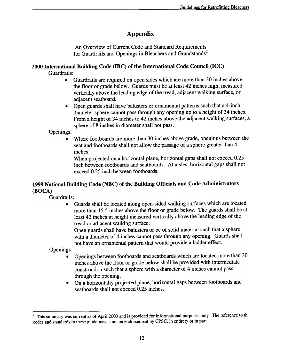# Appendix

An Overview of Current Code and Standard Requirements for Guardrails and Openings in Bleachers and Grandstands<sup>2</sup>

#### 2000 International Building Code (IBC) of the International Code Council (ICC) Guardrails:

- .Guardrails are required on open sides which are more than 30 inches above the floor or grade below. Guards must be at least 42 inches high, measured vertically above the leading edge of the tread, adjacent walking surface, or adjacent seatboard.
- Open guards shall have balusters or ornamental patterns such that a 4-inch diameter sphere cannot pass through any opening up to a height of 34 inches. From a height of 34 inches to 42 inches above the adjacent walking surfaces, a sphere of 8 inches in diameter shall not pass.

Openings:

. Where footboards are more than 30 inches above grade, openings between the seat and footboards shall not allow the passage of a sphere greater than 4 inches.

When projected on a horizontal plane, horizontal gaps shall not exceed  $0.25$ inch between footboards and seatboards. At aisles, horizontal gaps shall not exceed 0.25 inch between footboards.

#### 1999 National Building Code (NBC) of the Building Officials and Code Administrators (BOCA)

Guardrails:

.Guards shall be located along open-sided walking surfaces which are located more than 15.5 inches above the floor or grade below. The guards shall be at least 42 inches in height measured vertically above the leading edge of the tread or adjacent walking surface.

Open guards shall have balusters or be of solid material such that a sphere with a diameter of 4 inches cannot pass through any opening. Guards shall not have an ornamental pattern that would provide a ladder effect.

Openings:

- . Openings between footboards and seatboards which are located more than 30 inches above the floor or grade below shall be provided with intermediate construction such that a sphere with a diameter of 4 inches cannot pass through the opening.
- On a horizontally projected plane, horizontal gaps between footboards and seatboards shall not exceed 0.25 inches.  $\bullet$

<sup>&</sup>lt;sup>2</sup> This summary was current as of April 2000 and is provided for informational purposes only The reference to the codes and standards in these guidelines is not an endorsement by CPSC, in entirety or in part.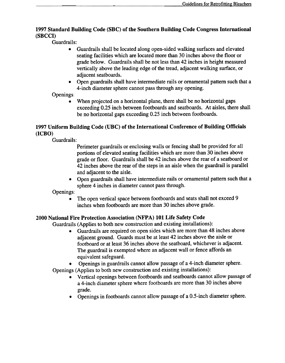#### 1997 Standard Building Code (SBC) of the Southern Building Code Congress International (SBCCI)

Guardrails:

- .Guardrails shall be located along open-sided walking surfaces and elevated seating facilities which are located more than 30 inches above the floor or grade below. Guardrails shall be not less than 42 inches in height measured vertically above the leading edge of the tread, adjacent walking surface, or adjacent seatboards.
- .Open guardrails shall have intermediate rails or ornamental pattern such that a 4-inch diameter sphere cannot pass through any opening.

Openings:

. When projected on a horizontal plane, there shall be no horizontal gaps exceeding 0.25 inch between footboards and seatboards. At aisles, there shall be no horizontal gaps exceeding 0.25 inch between footboards.

#### 1997 Uniform Building Code (UBC) of the International Conference of Building Officials (ICBO)

Guardrails:

Perimeter guardrails or enclosing walls or fencing shall be provided for all portions of elevated seating facilities which are more than 30 inches above grade or floor. Guardrails shall be 42 inches above the rear of a seatboard or 42 inches above the rear of the steps in an aisle when the guardrail is parallel and adjacent to the aisle.

• Open guardrails shall have intermediate rails or ornamental pattern such that a sphere 4 inches in diameter cannot pass through.

Openings:

. The open vertical space between footboards and seats shall not exceed 9 inches when footboards are more than 30 inches above grade.

#### 2000 National Fire Protection Association (NFPA) 101 Life Safety Code

Guardrails (Applies to both new construction and existing installations):

- .Guardrails are required on open sides which are more than 48 inches above adjacent ground. Guards must be at least 42 inches above the aisle or footboard or at least 36 inches above the seatboard, whichever is adjacent. The guardrail is exempted where an adjacent wall or fence affords an equivalent safeguard.
- .Openings in guardrails cannot allow passage of a 4-inch diameter sphere.

Openings (Applies to both new construction and existing installations):

- .Vertical openings between footboards and seatboards cannot allow passage of a 4-inch diameter sphere where footboards are more than 30 inches above grade.
- .Openings in footboards cannot allow passage of a 0.5-inch diameter sphere.